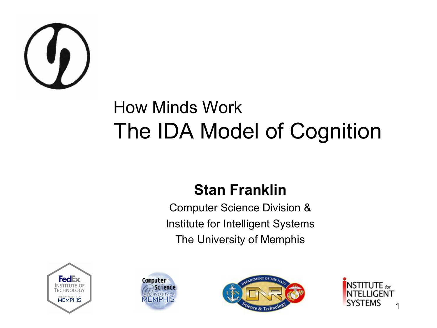

#### How Minds Work The IDA Model of Cognition

#### **Stan Franklin**

Computer Science Division & Institute for Intelligent Systems The University of Memphis







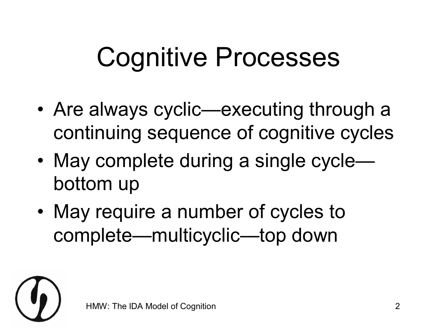#### Cognitive Processes

- Are always cyclic—executing through a continuing sequence of cognitive cycles
- May complete during a single cycle bottom up
- May require a number of cycles to complete—multicyclic—top down

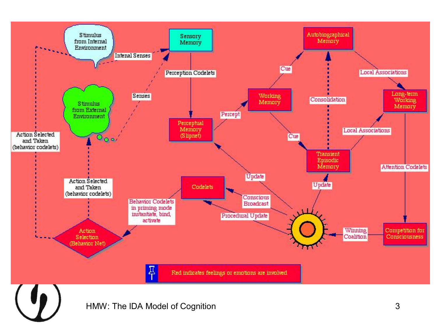

HMW: The IDA Model of Cognition 3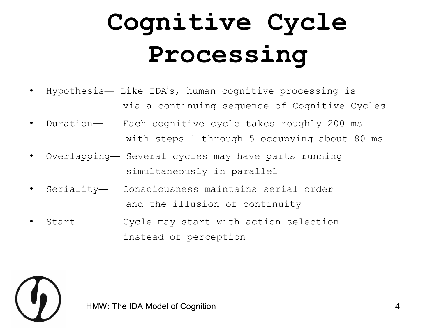#### **Cognitive Cycle Processing**

- Hypothesis— Like IDA's, human cognitive processing is via a continuing sequence of Cognitive Cycles
- Duration— Each cognitive cycle takes roughly 200 ms with steps 1 through 5 occupying about 80 ms
- Overlapping— Several cycles may have parts running simultaneously in parallel
- Seriality— Consciousness maintains serial order and the illusion of continuity
- Start— Cycle may start with action selection instead of perception



HMW: The IDA Model of Cognition **4** 4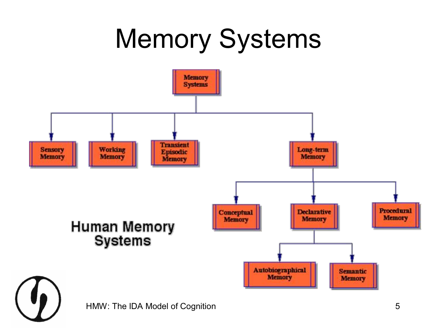#### Memory Systems

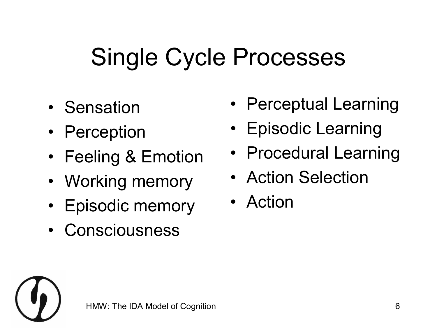#### Single Cycle Processes

- Sensation
- Perception
- Feeling & Emotion
- Working memory
- Episodic memory
- **Consciousness**
- Perceptual Learning
- Episodic Learning
- Procedural Learning
- Action Selection
- Action

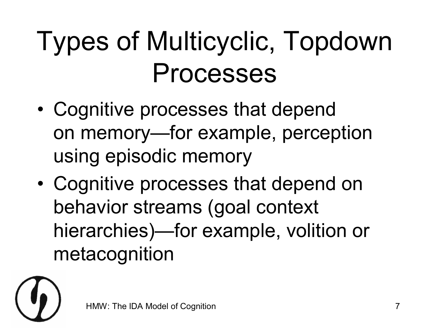#### Types of Multicyclic, Topdown Processes

- Cognitive processes that depend on memory—for example, perception using episodic memory
- Cognitive processes that depend on behavior streams (goal context hierarchies)—for example, volition or metacognition

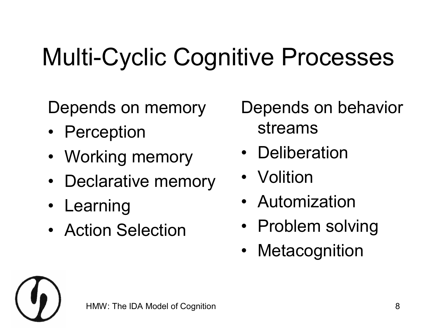#### Multi-Cyclic Cognitive Processes

Depends on memory

- Perception
- Working memory
- Declarative memory
- Learning
- Action Selection

Depends on behavior streams

- **Deliberation**
- **Volition**
- Automization
- Problem solving
- **Metacognition**

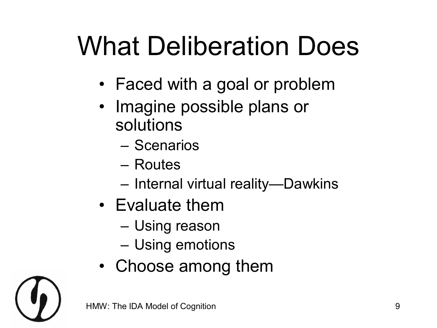# What Deliberation Does

- Faced with a goal or problem
- Imagine possible plans or solutions
	- Scenarios
	- Routes
	- Internal virtual reality—Dawkins
- Evaluate them
	- Using reason
	- Using emotions
- Choose among them

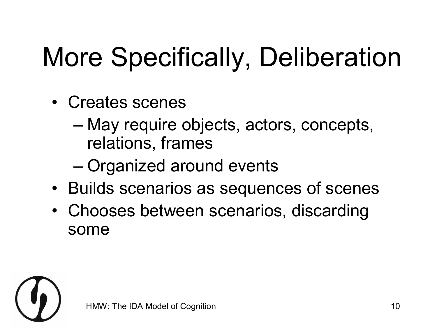# More Specifically, Deliberation

- Creates scenes
	- May require objects, actors, concepts, relations, frames
	- Organized around events
- Builds scenarios as sequences of scenes
- Chooses between scenarios, discarding some

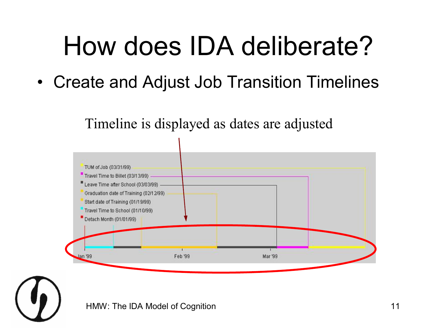#### How does IDA deliberate?

• Create and Adjust Job Transition Timelines

Timeline is displayed as dates are adjusted



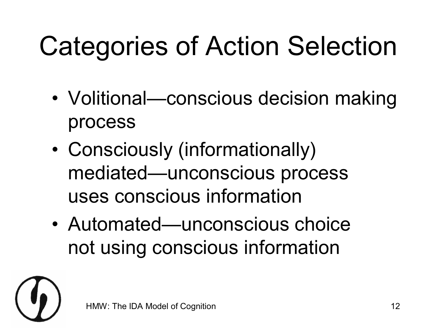# Categories of Action Selection

- Volitional—conscious decision making process
- Consciously (informationally) mediated—unconscious process uses conscious information
- Automated—unconscious choice not using conscious information

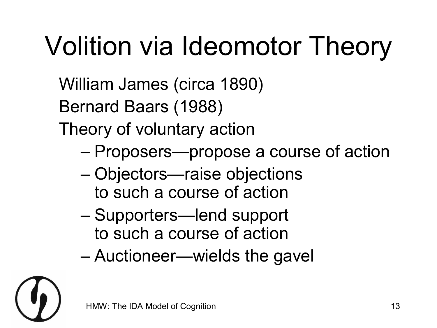# Volition via Ideomotor Theory

William James (circa 1890)

Bernard Baars (1988)

Theory of voluntary action

- Proposers—propose a course of action
- Objectors—raise objections to such a course of action
- Supporters—lend support to such a course of action
- Auctioneer—wields the gavel

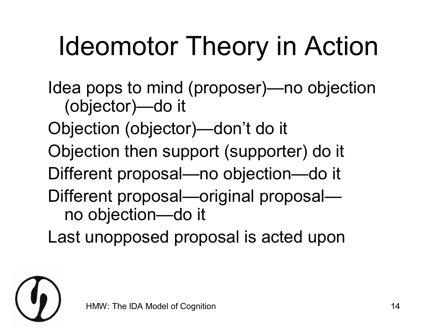# Ideomotor Theory in Action

Idea pops to mind (proposer)—no objection (objector)—do it

Objection (objector)—don't do it

Objection then support (supporter) do it

Different proposal—no objection—do it

Different proposal—original proposal no objection—do it

Last unopposed proposal is acted upon

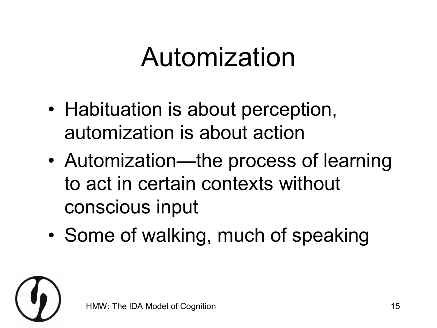#### Automization

- Habituation is about perception, automization is about action
- Automization—the process of learning to act in certain contexts without conscious input
- Some of walking, much of speaking

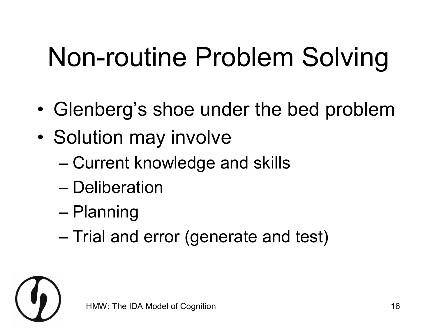# Non-routine Problem Solving

- Glenberg's shoe under the bed problem
- Solution may involve
	- Current knowledge and skills
	- Deliberation
	- Planning
	- Trial and error (generate and test)

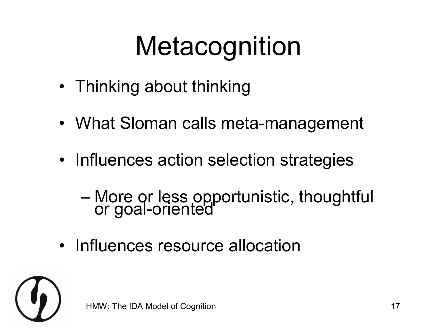# **Metacognition**

- Thinking about thinking
- What Sloman calls meta-management
- Influences action selection strategies
	- More or less opportunistic, thoughtful or goal-oriented
- Influences resource allocation

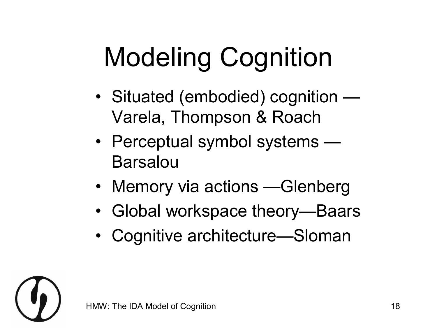# Modeling Cognition

- Situated (embodied) cognition Varela, Thompson & Roach
- Perceptual symbol systems Barsalou
- Memory via actions Glenberg
- Global workspace theory—Baars
- Cognitive architecture—Sloman

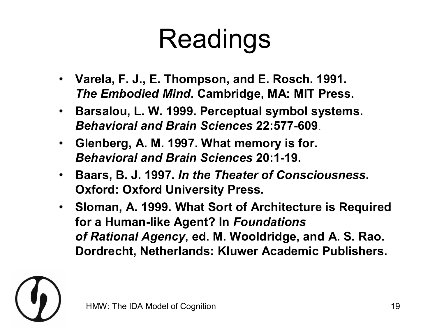#### Readings

- **Varela, F. J., E. Thompson, and E. Rosch. 1991.** *The Embodied Mind***. Cambridge, MA: MIT Press.**
- **Barsalou, L. W. 1999. Perceptual symbol systems. Behavioral and Brain Sciences 22:577-609**
- **Glenberg, A. M. 1997. What memory is for. Behavioral and Brain Sciences 20:1-19.**
- **Baars, B. J. 1997.** *In the Theater of Consciousness***. Oxford: Oxford University Press.**
- **Sloman, A. 1999. What Sort of Architecture is Required for a Human-like Agent? In Foundations** *of Rational Agency***, ed. M. Wooldridge, and A. S. Rao. Dordrecht, Netherlands: Kluwer Academic Publishers.**